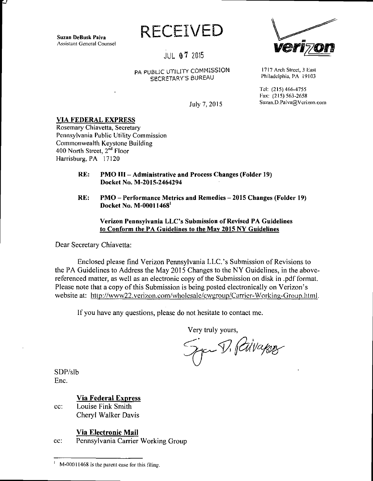Suzan DeBusk Paiva Assistant General Counsel

Ε,

**RECEIVED** 

JUL 0? 2015

## **PA PUBLIC UTILITY COMMISSION** 1717 Arch Street, 3 East **Philadelphia, PA 19103** SECRETARY'S BUREAU

Tel: (215)466-4755 Fax: (215) 563-2658 July 7, 2015 Suzan.D.Paiva@Vcrizon.com

**VIA FEDERAL EXPRESS** 

Rosemary Chiavetta, Secretary Pennsylvania Public Utility Commission Commonwealth Keystone Building 400 North Street, 2<sup>nd</sup> Floor Harrisburg, PA 17120

- **RE: PMO III Administrative and Process Changes (Folder 19) Docket No. M-2015-2464294**
- **RE: PMO Performance Metrics and Remedies 2015 Changes (Folder 19) Docket No. M-00011468<sup>1</sup>**

**Verizon Pennsylvania LLC's Submission of Revised PA Guidelines to Conform the PA Guidelines to the Mav 2015 NY Guidelines** 

Dear Secretary Chiavetta:

Enclosed please find Verizon Pennsylvania LLC's Submission of Revisions to the PA Guidelines to Address the May 2015 Changes to the NY Guidelines, in the abovereferenced matter, as well as an electronic copy of the Submission on disk in .pdf format. Please note that a copy of this Submission is being posted electronically on Verizon's website at: http://www22.verizon.com/wholesalc/cwgroup/Carrier-Working-Group.html.

If you have any questions, please do not hesitate to contact me.

Very truly yours,

Syn V. Pilvagner

SDP/slb Enc.

**Via Federal Express** 

cc: Louise Fink Smith Cheryl Walker Davis

**Via Electronic Mail** 

cc: Pennsylvania Carrier Working Group

M-00011468 is the parent case for this filing.